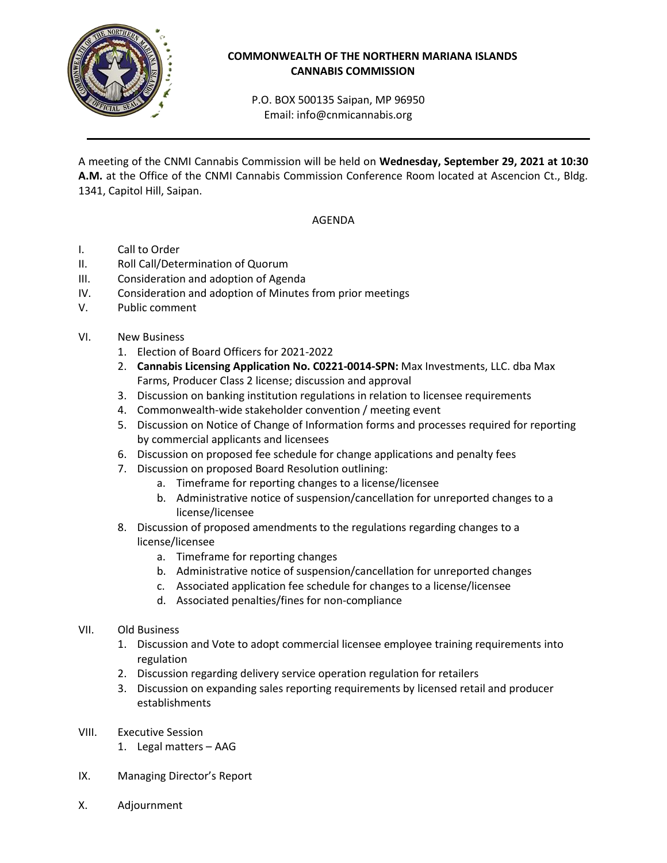

## **COMMONWEALTH OF THE NORTHERN MARIANA ISLANDS CANNABIS COMMISSION**

P.O. BOX 500135 Saipan, MP 96950 Email: info@cnmicannabis.org

A meeting of the CNMI Cannabis Commission will be held on **Wednesday, September 29, 2021 at 10:30 A.M.** at the Office of the CNMI Cannabis Commission Conference Room located at Ascencion Ct., Bldg. 1341, Capitol Hill, Saipan.

## AGENDA

- I. Call to Order
- II. Roll Call/Determination of Quorum
- III. Consideration and adoption of Agenda
- IV. Consideration and adoption of Minutes from prior meetings
- V. Public comment
- VI. New Business
	- 1. Election of Board Officers for 2021-2022
	- 2. **Cannabis Licensing Application No. C0221-0014-SPN:** Max Investments, LLC. dba Max Farms, Producer Class 2 license; discussion and approval
	- 3. Discussion on banking institution regulations in relation to licensee requirements
	- 4. Commonwealth-wide stakeholder convention / meeting event
	- 5. Discussion on Notice of Change of Information forms and processes required for reporting by commercial applicants and licensees
	- 6. Discussion on proposed fee schedule for change applications and penalty fees
	- 7. Discussion on proposed Board Resolution outlining:
		- a. Timeframe for reporting changes to a license/licensee
		- b. Administrative notice of suspension/cancellation for unreported changes to a license/licensee
	- 8. Discussion of proposed amendments to the regulations regarding changes to a license/licensee
		- a. Timeframe for reporting changes
		- b. Administrative notice of suspension/cancellation for unreported changes
		- c. Associated application fee schedule for changes to a license/licensee
		- d. Associated penalties/fines for non-compliance

## VII. Old Business

- 1. Discussion and Vote to adopt commercial licensee employee training requirements into regulation
- 2. Discussion regarding delivery service operation regulation for retailers
- 3. Discussion on expanding sales reporting requirements by licensed retail and producer establishments
- VIII. Executive Session
	- 1. Legal matters AAG
- IX. Managing Director's Report
- X. Adjournment